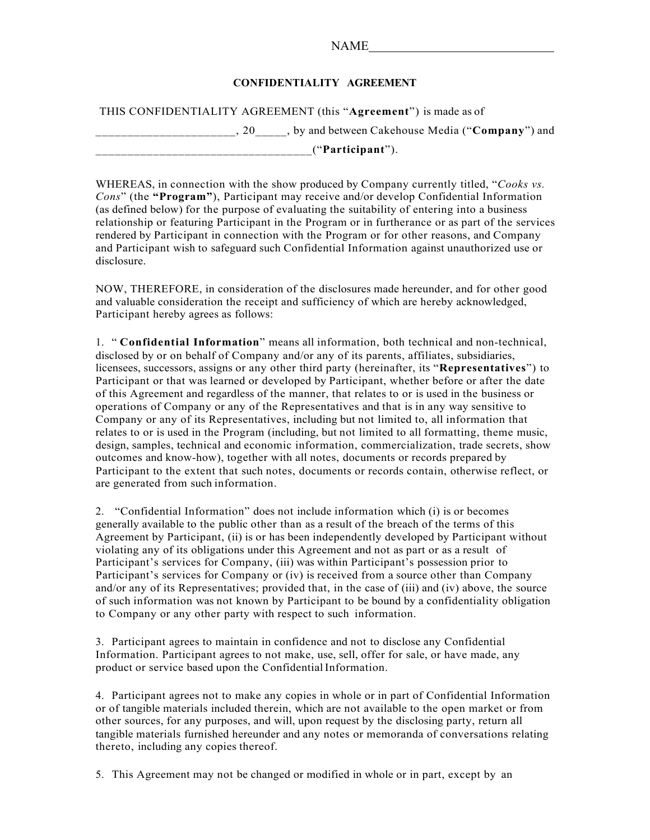## NAME

## **CONFIDENTIALITY AGREEMENT**

THIS CONFIDENTIALITY AGREEMENT (this "**Agreement**") is made as of

\_\_\_\_\_\_\_\_\_\_\_\_\_\_\_\_\_\_\_\_\_\_, 20\_\_\_\_\_, by and between Cakehouse Media ("**Company**") and

\_\_\_\_\_\_\_\_\_\_\_\_\_\_\_\_\_\_\_\_\_\_\_\_\_\_\_\_\_\_\_\_\_\_("**Participant**").

WHEREAS, in connection with the show produced by Company currently titled, "*Cooks vs. Cons*" (the **"Program"**), Participant may receive and/or develop Confidential Information (as defined below) for the purpose of evaluating the suitability of entering into a business relationship or featuring Participant in the Program or in furtherance or as part of the services rendered by Participant in connection with the Program or for other reasons, and Company and Participant wish to safeguard such Confidential Information against unauthorized use or disclosure.

NOW, THEREFORE, in consideration of the disclosures made hereunder, and for other good and valuable consideration the receipt and sufficiency of which are hereby acknowledged, Participant hereby agrees as follows:

1. " **Confidential Information**" means all information, both technical and non-technical, disclosed by or on behalf of Company and/or any of its parents, affiliates, subsidiaries, licensees, successors, assigns or any other third party (hereinafter, its "**Representatives**") to Participant or that was learned or developed by Participant, whether before or after the date of this Agreement and regardless of the manner, that relates to or is used in the business or operations of Company or any of the Representatives and that is in any way sensitive to Company or any of its Representatives, including but not limited to, all information that relates to or is used in the Program (including, but not limited to all formatting, theme music, design, samples, technical and economic information, commercialization, trade secrets, show outcomes and know-how), together with all notes, documents or records prepared by Participant to the extent that such notes, documents or records contain, otherwise reflect, or are generated from such information.

2. "Confidential Information" does not include information which (i) is or becomes generally available to the public other than as a result of the breach of the terms of this Agreement by Participant, (ii) is or has been independently developed by Participant without violating any of its obligations under this Agreement and not as part or as a result of Participant's services for Company, (iii) was within Participant's possession prior to Participant's services for Company or (iv) is received from a source other than Company and/or any of its Representatives; provided that, in the case of (iii) and (iv) above, the source of such information was not known by Participant to be bound by a confidentiality obligation to Company or any other party with respect to such information.

3. Participant agrees to maintain in confidence and not to disclose any Confidential Information. Participant agrees to not make, use, sell, offer for sale, or have made, any product or service based upon the Confidential Information.

4. Participant agrees not to make any copies in whole or in part of Confidential Information or of tangible materials included therein, which are not available to the open market or from other sources, for any purposes, and will, upon request by the disclosing party, return all tangible materials furnished hereunder and any notes or memoranda of conversations relating thereto, including any copies thereof.

5. This Agreement may not be changed or modified in whole or in part, except by an